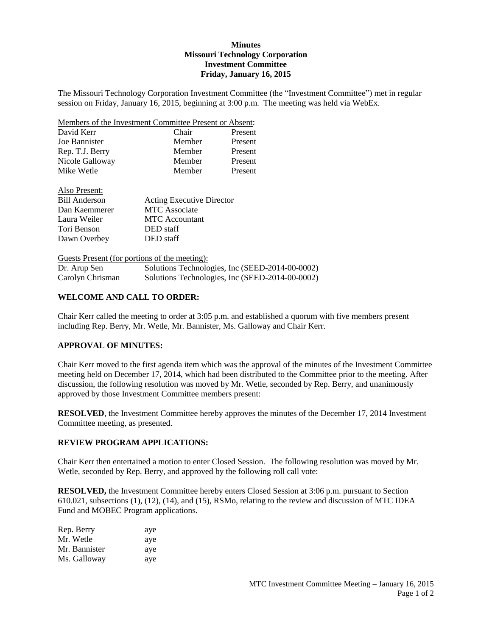## **Minutes Missouri Technology Corporation Investment Committee Friday, January 16, 2015**

The Missouri Technology Corporation Investment Committee (the "Investment Committee") met in regular session on Friday, January 16, 2015, beginning at 3:00 p.m. The meeting was held via WebEx.

| Members of the Investment Committee Present or Absent: |        |         |
|--------------------------------------------------------|--------|---------|
| David Kerr                                             | Chair  | Present |
| Joe Bannister                                          | Member | Present |
| Rep. T.J. Berry                                        | Member | Present |
| Nicole Galloway                                        | Member | Present |
| Mike Wetle                                             | Member | Present |

| Also Present:        |                                  |
|----------------------|----------------------------------|
| <b>Bill Anderson</b> | <b>Acting Executive Director</b> |
| Dan Kaemmerer        | <b>MTC</b> Associate             |
| Laura Weiler         | <b>MTC</b> Accountant            |
| Tori Benson          | DED staff                        |
| Dawn Overbey         | DED staff                        |

Guests Present (for portions of the meeting): Dr. Arup Sen Solutions Technologies, Inc (SEED-2014-00-0002) Carolyn Chrisman Solutions Technologies, Inc (SEED-2014-00-0002)

## **WELCOME AND CALL TO ORDER:**

Chair Kerr called the meeting to order at 3:05 p.m. and established a quorum with five members present including Rep. Berry, Mr. Wetle, Mr. Bannister, Ms. Galloway and Chair Kerr.

#### **APPROVAL OF MINUTES:**

Chair Kerr moved to the first agenda item which was the approval of the minutes of the Investment Committee meeting held on December 17, 2014, which had been distributed to the Committee prior to the meeting. After discussion, the following resolution was moved by Mr. Wetle, seconded by Rep. Berry, and unanimously approved by those Investment Committee members present:

**RESOLVED**, the Investment Committee hereby approves the minutes of the December 17, 2014 Investment Committee meeting, as presented.

## **REVIEW PROGRAM APPLICATIONS:**

Chair Kerr then entertained a motion to enter Closed Session. The following resolution was moved by Mr. Wetle, seconded by Rep. Berry, and approved by the following roll call vote:

**RESOLVED,** the Investment Committee hereby enters Closed Session at 3:06 p.m. pursuant to Section 610.021, subsections (1), (12), (14), and (15), RSMo, relating to the review and discussion of MTC IDEA Fund and MOBEC Program applications.

| Rep. Berry    | aye |
|---------------|-----|
| Mr. Wetle     | aye |
| Mr. Bannister | aye |
| Ms. Galloway  | aye |